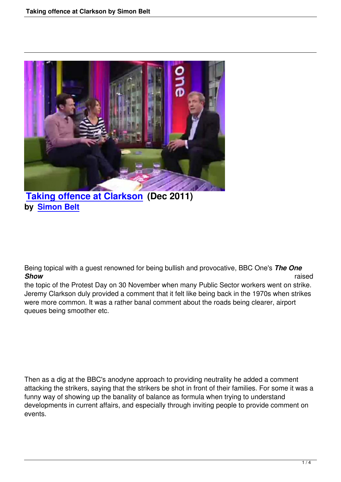

## **Taking offence at Clarkson (Dec 2011) by Simon Belt**

Being topical with a guest renowned for being bullish and provocative, BBC One's *The One Show* raised

the topic of the Protest Day on 30 November when many Public Sector workers went on strike. Jeremy Clarkson duly provided a comment that it felt like being back in the 1970s when strikes were more common. It was a rather banal comment about the roads being clearer, airport queues being smoother etc.

Then as a dig at the BBC's anodyne approach to providing neutrality he added a comment attacking the strikers, saying that the strikers be shot in front of their families. For some it was a funny way of showing up the banality of balance as formula when trying to understand developments in current affairs, and especially through inviting people to provide comment on events.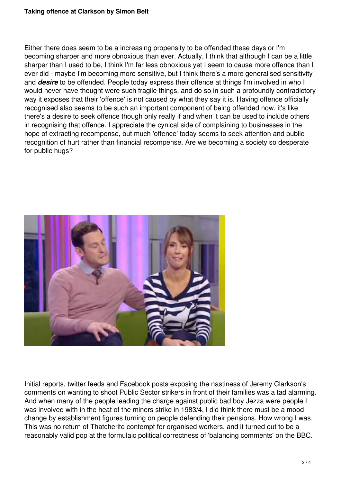Either there does seem to be a increasing propensity to be offended these days or I'm becoming sharper and more obnoxious than ever. Actually, I think that although I can be a little sharper than I used to be, I think I'm far less obnoxious yet I seem to cause more offence than I ever did - maybe I'm becoming more sensitive, but I think there's a more generalised sensitivity and *desire* to be offended. People today express their offence at things I'm involved in who I would never have thought were such fragile things, and do so in such a profoundly contradictory way it exposes that their 'offence' is not caused by what they say it is. Having offence officially recognised also seems to be such an important component of being offended now, it's like there's a desire to seek offence though only really if and when it can be used to include others in recognising that offence. I appreciate the cynical side of complaining to businesses in the hope of extracting recompense, but much 'offence' today seems to seek attention and public recognition of hurt rather than financial recompense. Are we becoming a society so desperate for public hugs?



Initial reports, twitter feeds and Facebook posts exposing the nastiness of Jeremy Clarkson's comments on wanting to shoot Public Sector strikers in front of their families was a tad alarming. And when many of the people leading the charge against public bad boy Jezza were people I was involved with in the heat of the miners strike in 1983/4, I did think there must be a mood change by establishment figures turning on people defending their pensions. How wrong I was. This was no return of Thatcherite contempt for organised workers, and it turned out to be a reasonably valid pop at the formulaic political correctness of 'balancing comments' on the BBC.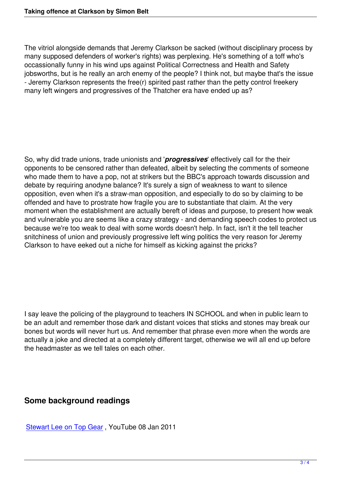The vitriol alongside demands that Jeremy Clarkson be sacked (without disciplinary process by many supposed defenders of worker's rights) was perplexing. He's something of a toff who's occassionally funny in his wind ups against Political Correctness and Health and Safety jobsworths, but is he really an arch enemy of the people? I think not, but maybe that's the issue - Jeremy Clarkson represents the free(r) spirited past rather than the petty control freekery many left wingers and progressives of the Thatcher era have ended up as?

So, why did trade unions, trade unionists and '*progressives*' effectively call for the their opponents to be censored rather than defeated, albeit by selecting the comments of someone who made them to have a pop, not at strikers but the BBC's approach towards discussion and debate by requiring anodyne balance? It's surely a sign of weakness to want to silence opposition, even when it's a straw-man opposition, and especially to do so by claiming to be offended and have to prostrate how fragile you are to substantiate that claim. At the very moment when the establishment are actually bereft of ideas and purpose, to present how weak and vulnerable you are seems like a crazy strategy - and demanding speech codes to protect us because we're too weak to deal with some words doesn't help. In fact, isn't it the tell teacher snitchiness of union and previously progressive left wing politics the very reason for Jeremy Clarkson to have eeked out a niche for himself as kicking against the pricks?

I say leave the policing of the playground to teachers IN SCHOOL and when in public learn to be an adult and remember those dark and distant voices that sticks and stones may break our bones but words will never hurt us. And remember that phrase even more when the words are actually a joke and directed at a completely different target, otherwise we will all end up before the headmaster as we tell tales on each other.

## **Some background readings**

Stewart Lee on Top Gear , YouTube 08 Jan 2011